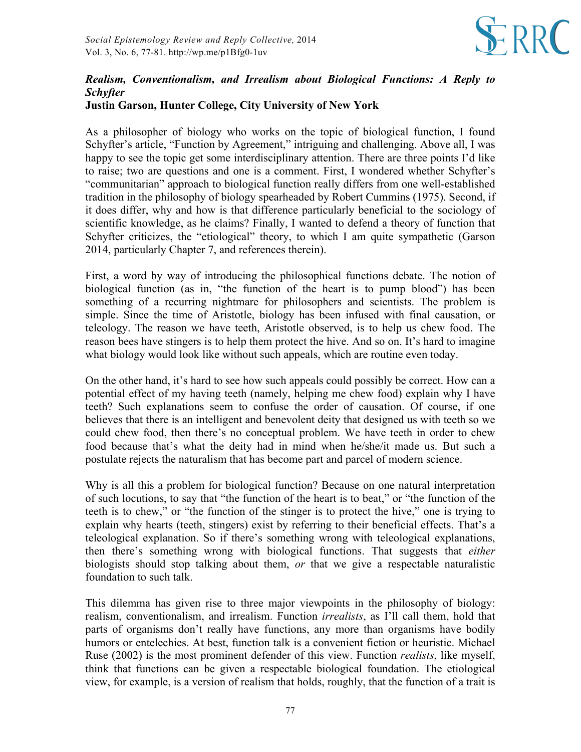

## *Realism, Conventionalism, and Irrealism about Biological Functions: A Reply to Schyfter*

## **Justin Garson, Hunter College, City University of New York**

As a philosopher of biology who works on the topic of biological function, I found Schyfter's article, "Function by Agreement," intriguing and challenging. Above all, I was happy to see the topic get some interdisciplinary attention. There are three points I'd like to raise; two are questions and one is a comment. First, I wondered whether Schyfter's "communitarian" approach to biological function really differs from one well-established tradition in the philosophy of biology spearheaded by Robert Cummins (1975). Second, if it does differ, why and how is that difference particularly beneficial to the sociology of scientific knowledge, as he claims? Finally, I wanted to defend a theory of function that Schyfter criticizes, the "etiological" theory, to which I am quite sympathetic (Garson 2014, particularly Chapter 7, and references therein).

First, a word by way of introducing the philosophical functions debate. The notion of biological function (as in, "the function of the heart is to pump blood") has been something of a recurring nightmare for philosophers and scientists. The problem is simple. Since the time of Aristotle, biology has been infused with final causation, or teleology. The reason we have teeth, Aristotle observed, is to help us chew food. The reason bees have stingers is to help them protect the hive. And so on. It's hard to imagine what biology would look like without such appeals, which are routine even today.

On the other hand, it's hard to see how such appeals could possibly be correct. How can a potential effect of my having teeth (namely, helping me chew food) explain why I have teeth? Such explanations seem to confuse the order of causation. Of course, if one believes that there is an intelligent and benevolent deity that designed us with teeth so we could chew food, then there's no conceptual problem. We have teeth in order to chew food because that's what the deity had in mind when he/she/it made us. But such a postulate rejects the naturalism that has become part and parcel of modern science.

Why is all this a problem for biological function? Because on one natural interpretation of such locutions, to say that "the function of the heart is to beat," or "the function of the teeth is to chew," or "the function of the stinger is to protect the hive," one is trying to explain why hearts (teeth, stingers) exist by referring to their beneficial effects. That's a teleological explanation. So if there's something wrong with teleological explanations, then there's something wrong with biological functions. That suggests that *either* biologists should stop talking about them, *or* that we give a respectable naturalistic foundation to such talk.

This dilemma has given rise to three major viewpoints in the philosophy of biology: realism, conventionalism, and irrealism. Function *irrealists*, as I'll call them, hold that parts of organisms don't really have functions, any more than organisms have bodily humors or entelechies. At best, function talk is a convenient fiction or heuristic. Michael Ruse (2002) is the most prominent defender of this view. Function *realists*, like myself, think that functions can be given a respectable biological foundation. The etiological view, for example, is a version of realism that holds, roughly, that the function of a trait is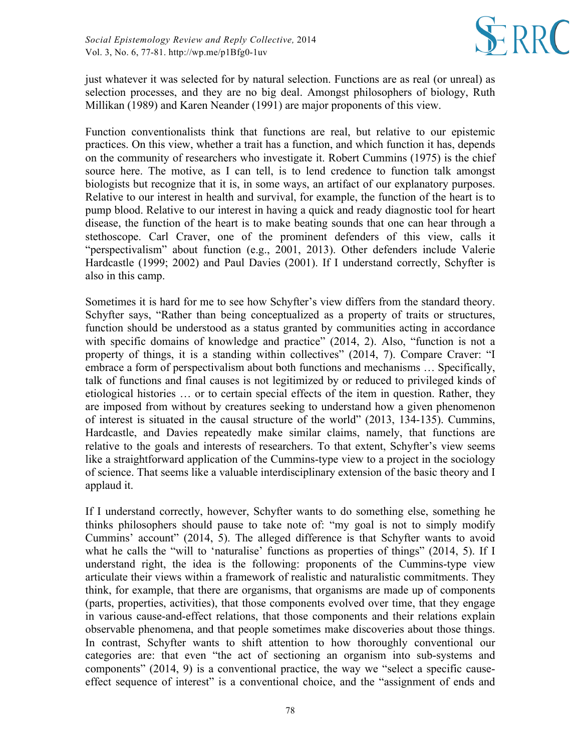

just whatever it was selected for by natural selection. Functions are as real (or unreal) as selection processes, and they are no big deal. Amongst philosophers of biology, Ruth Millikan (1989) and Karen Neander (1991) are major proponents of this view.

Function conventionalists think that functions are real, but relative to our epistemic practices. On this view, whether a trait has a function, and which function it has, depends on the community of researchers who investigate it. Robert Cummins (1975) is the chief source here. The motive, as I can tell, is to lend credence to function talk amongst biologists but recognize that it is, in some ways, an artifact of our explanatory purposes. Relative to our interest in health and survival, for example, the function of the heart is to pump blood. Relative to our interest in having a quick and ready diagnostic tool for heart disease, the function of the heart is to make beating sounds that one can hear through a stethoscope. Carl Craver, one of the prominent defenders of this view, calls it "perspectivalism" about function (e.g., 2001, 2013). Other defenders include Valerie Hardcastle (1999; 2002) and Paul Davies (2001). If I understand correctly, Schyfter is also in this camp.

Sometimes it is hard for me to see how Schyfter's view differs from the standard theory. Schyfter says, "Rather than being conceptualized as a property of traits or structures, function should be understood as a status granted by communities acting in accordance with specific domains of knowledge and practice" (2014, 2). Also, "function is not a property of things, it is a standing within collectives" (2014, 7). Compare Craver: "I embrace a form of perspectivalism about both functions and mechanisms … Specifically, talk of functions and final causes is not legitimized by or reduced to privileged kinds of etiological histories … or to certain special effects of the item in question. Rather, they are imposed from without by creatures seeking to understand how a given phenomenon of interest is situated in the causal structure of the world" (2013, 134-135). Cummins, Hardcastle, and Davies repeatedly make similar claims, namely, that functions are relative to the goals and interests of researchers. To that extent, Schyfter's view seems like a straightforward application of the Cummins-type view to a project in the sociology of science. That seems like a valuable interdisciplinary extension of the basic theory and I applaud it.

If I understand correctly, however, Schyfter wants to do something else, something he thinks philosophers should pause to take note of: "my goal is not to simply modify Cummins' account" (2014, 5). The alleged difference is that Schyfter wants to avoid what he calls the "will to 'naturalise' functions as properties of things" (2014, 5). If I understand right, the idea is the following: proponents of the Cummins-type view articulate their views within a framework of realistic and naturalistic commitments. They think, for example, that there are organisms, that organisms are made up of components (parts, properties, activities), that those components evolved over time, that they engage in various cause-and-effect relations, that those components and their relations explain observable phenomena, and that people sometimes make discoveries about those things. In contrast, Schyfter wants to shift attention to how thoroughly conventional our categories are: that even "the act of sectioning an organism into sub-systems and components" (2014, 9) is a conventional practice, the way we "select a specific causeeffect sequence of interest" is a conventional choice, and the "assignment of ends and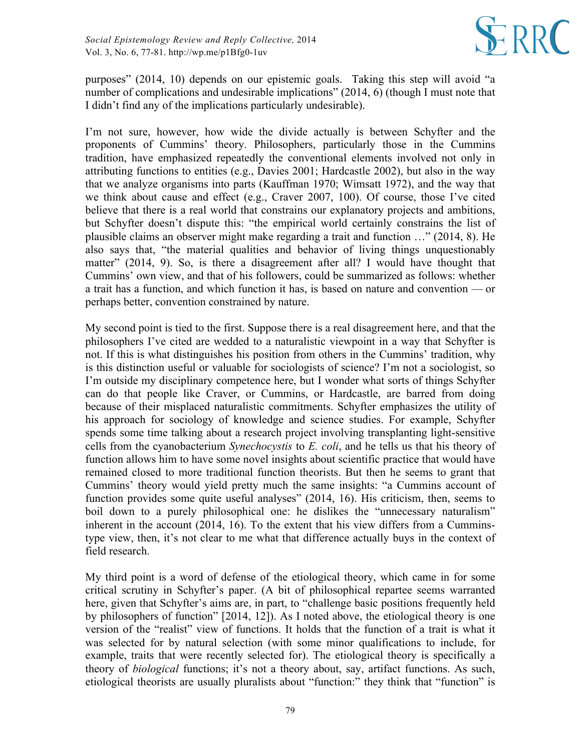

purposes" (2014, 10) depends on our epistemic goals. Taking this step will avoid "a number of complications and undesirable implications" (2014, 6) (though I must note that I didn't find any of the implications particularly undesirable).

I'm not sure, however, how wide the divide actually is between Schyfter and the proponents of Cummins' theory. Philosophers, particularly those in the Cummins tradition, have emphasized repeatedly the conventional elements involved not only in attributing functions to entities (e.g., Davies 2001; Hardcastle 2002), but also in the way that we analyze organisms into parts (Kauffman 1970; Wimsatt 1972), and the way that we think about cause and effect (e.g., Craver 2007, 100). Of course, those I've cited believe that there is a real world that constrains our explanatory projects and ambitions, but Schyfter doesn't dispute this: "the empirical world certainly constrains the list of plausible claims an observer might make regarding a trait and function …" (2014, 8). He also says that, "the material qualities and behavior of living things unquestionably matter" (2014, 9). So, is there a disagreement after all? I would have thought that Cummins' own view, and that of his followers, could be summarized as follows: whether a trait has a function, and which function it has, is based on nature and convention — or perhaps better, convention constrained by nature.

My second point is tied to the first. Suppose there is a real disagreement here, and that the philosophers I've cited are wedded to a naturalistic viewpoint in a way that Schyfter is not. If this is what distinguishes his position from others in the Cummins' tradition, why is this distinction useful or valuable for sociologists of science? I'm not a sociologist, so I'm outside my disciplinary competence here, but I wonder what sorts of things Schyfter can do that people like Craver, or Cummins, or Hardcastle, are barred from doing because of their misplaced naturalistic commitments. Schyfter emphasizes the utility of his approach for sociology of knowledge and science studies. For example, Schyfter spends some time talking about a research project involving transplanting light-sensitive cells from the cyanobacterium *Synechocystis* to *E. coli*, and he tells us that his theory of function allows him to have some novel insights about scientific practice that would have remained closed to more traditional function theorists. But then he seems to grant that Cummins' theory would yield pretty much the same insights: "a Cummins account of function provides some quite useful analyses" (2014, 16). His criticism, then, seems to boil down to a purely philosophical one: he dislikes the "unnecessary naturalism" inherent in the account (2014, 16). To the extent that his view differs from a Cumminstype view, then, it's not clear to me what that difference actually buys in the context of field research.

My third point is a word of defense of the etiological theory, which came in for some critical scrutiny in Schyfter's paper. (A bit of philosophical repartee seems warranted here, given that Schyfter's aims are, in part, to "challenge basic positions frequently held by philosophers of function" [2014, 12]). As I noted above, the etiological theory is one version of the "realist" view of functions. It holds that the function of a trait is what it was selected for by natural selection (with some minor qualifications to include, for example, traits that were recently selected for). The etiological theory is specifically a theory of *biological* functions; it's not a theory about, say, artifact functions. As such, etiological theorists are usually pluralists about "function:" they think that "function" is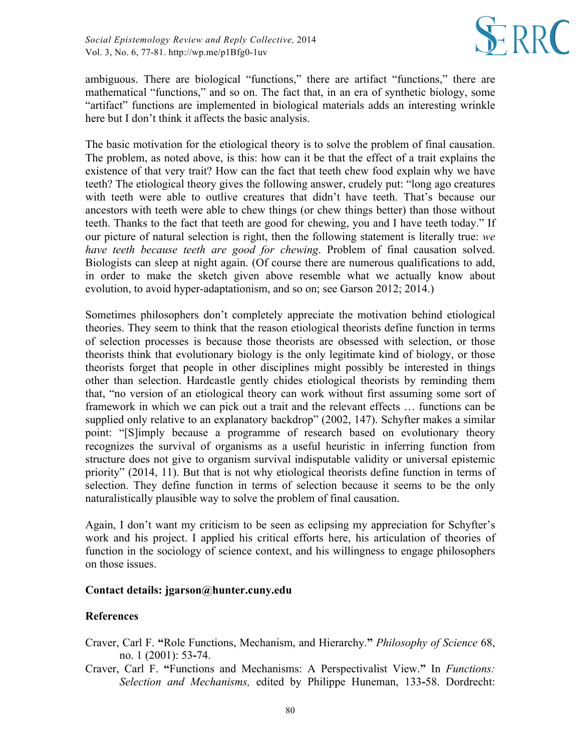

ambiguous. There are biological "functions," there are artifact "functions," there are mathematical "functions," and so on. The fact that, in an era of synthetic biology, some "artifact" functions are implemented in biological materials adds an interesting wrinkle here but I don't think it affects the basic analysis.

The basic motivation for the etiological theory is to solve the problem of final causation. The problem, as noted above, is this: how can it be that the effect of a trait explains the existence of that very trait? How can the fact that teeth chew food explain why we have teeth? The etiological theory gives the following answer, crudely put: "long ago creatures with teeth were able to outlive creatures that didn't have teeth. That's because our ancestors with teeth were able to chew things (or chew things better) than those without teeth. Thanks to the fact that teeth are good for chewing, you and I have teeth today." If our picture of natural selection is right, then the following statement is literally true: *we have teeth because teeth are good for chewing*. Problem of final causation solved. Biologists can sleep at night again. (Of course there are numerous qualifications to add, in order to make the sketch given above resemble what we actually know about evolution, to avoid hyper-adaptationism, and so on; see Garson 2012; 2014.)

Sometimes philosophers don't completely appreciate the motivation behind etiological theories. They seem to think that the reason etiological theorists define function in terms of selection processes is because those theorists are obsessed with selection, or those theorists think that evolutionary biology is the only legitimate kind of biology, or those theorists forget that people in other disciplines might possibly be interested in things other than selection. Hardcastle gently chides etiological theorists by reminding them that, "no version of an etiological theory can work without first assuming some sort of framework in which we can pick out a trait and the relevant effects … functions can be supplied only relative to an explanatory backdrop" (2002, 147). Schyfter makes a similar point: "[S]imply because a programme of research based on evolutionary theory recognizes the survival of organisms as a useful heuristic in inferring function from structure does not give to organism survival indisputable validity or universal epistemic priority" (2014, 11). But that is not why etiological theorists define function in terms of selection. They define function in terms of selection because it seems to be the only naturalistically plausible way to solve the problem of final causation.

Again, I don't want my criticism to be seen as eclipsing my appreciation for Schyfter's work and his project. I applied his critical efforts here, his articulation of theories of function in the sociology of science context, and his willingness to engage philosophers on those issues.

## **Contact details: jgarson@hunter.cuny.edu**

## **References**

- Craver, Carl F. **"**Role Functions, Mechanism, and Hierarchy.**"** *Philosophy of Science* 68, no. 1 (2001): 53**-**74.
- Craver, Carl F. **"**Functions and Mechanisms: A Perspectivalist View.**"** In *Functions: Selection and Mechanisms,* edited by Philippe Huneman, 133**-**58. Dordrecht: